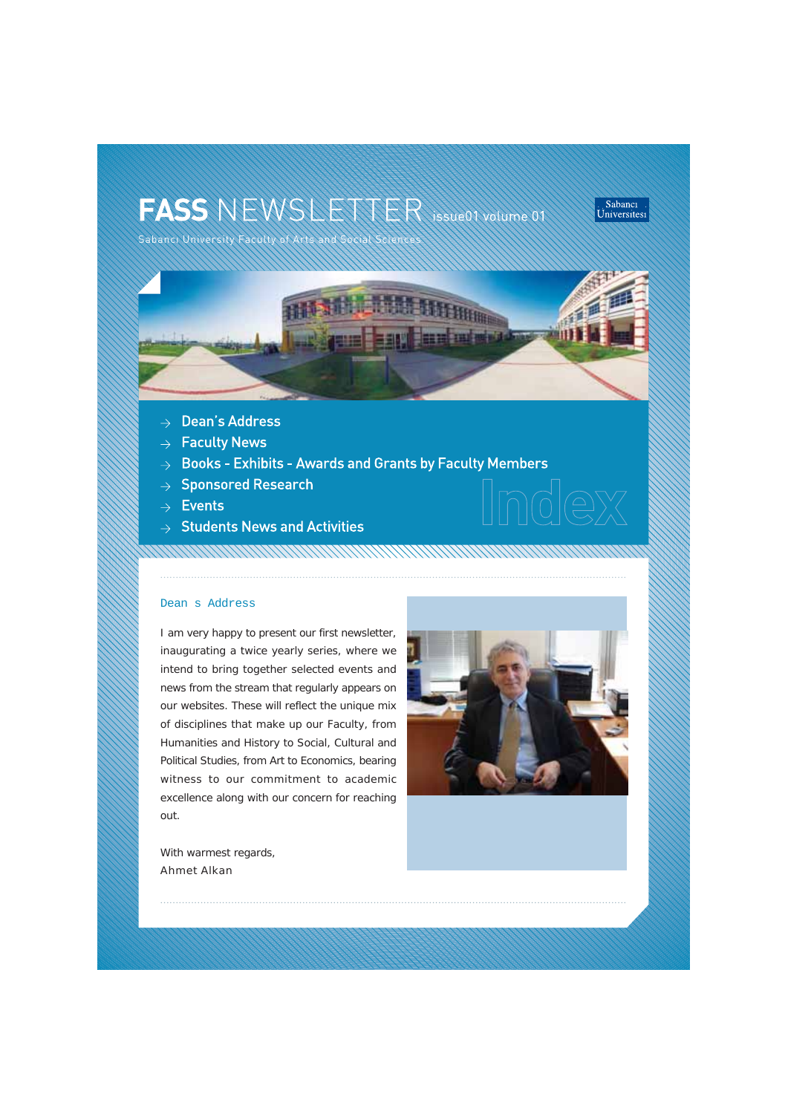## **FASS** NEWSLETTER issue01 volume 01



Sabanc› University Faculty of Arts and Social Sciences



- $\rightarrow$  Dean's Address
- $\rightarrow$  Faculty News
- $\rightarrow$  Books Exhibits Awards and Grants by Faculty Members

- $\rightarrow$  Sponsored Research
- $\rightarrow$  Events
- $\rightarrow$  Students News and Activities

### Dean s Address

I am very happy to present our first newsletter, inaugurating a twice yearly series, where we intend to bring together selected events and news from the stream that regularly appears on our websites. These will reflect the unique mix of disciplines that make up our Faculty, from Humanities and History to Social, Cultural and Political Studies, from Art to Economics, bearing witness to our commitment to academic excellence along with our concern for reaching out.



With warmest regards, **Ahmet Alkan**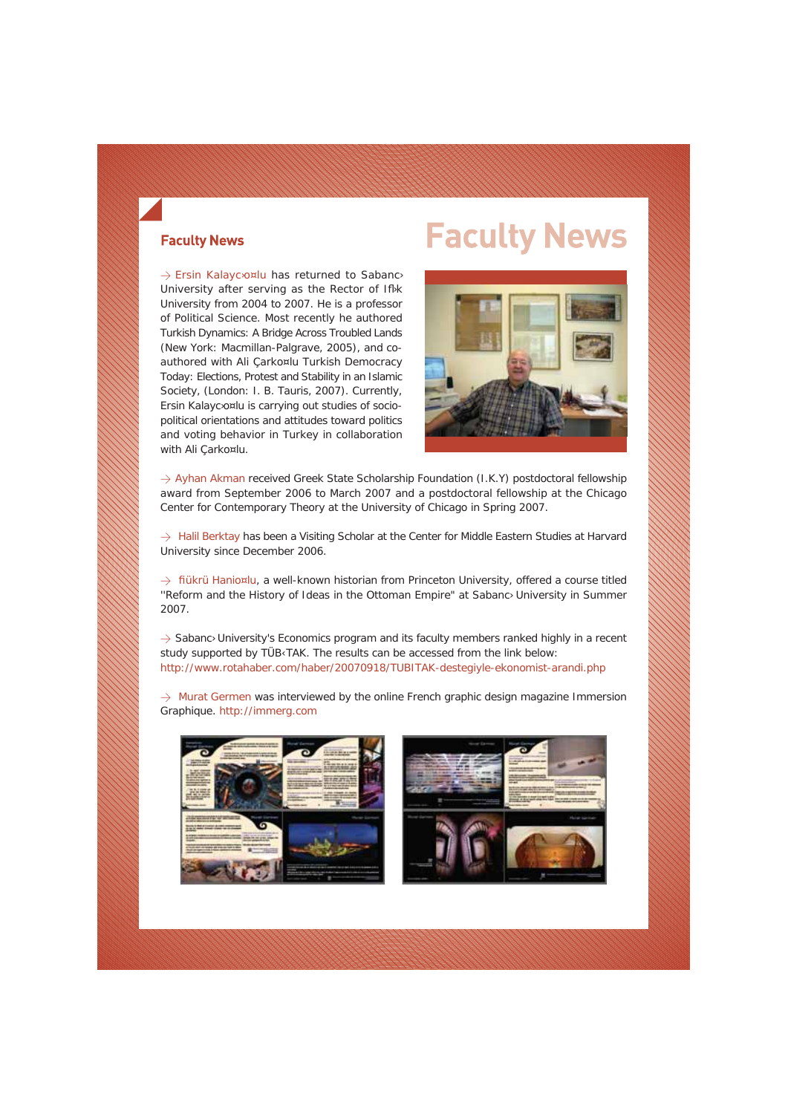### **Faculty News**

 $\rightarrow$  Ersin Kalayco¤lu has returned to Sabanc University after serving as the Rector of Ifbk University from 2004 to 2007. He is a professor of Political Science. Most recently he authored Turkish Dynamics: A Bridge Across Troubled Lands (New York: Macmillan-Palgrave, 2005), and coauthored with Ali Çarko¤lu Turkish Democracy Today: Elections, Protest and Stability in an Islamic Society, (London: I. B. Tauris, 2007). Currently, Ersin Kalayc›o¤lu is carrying out studies of sociopolitical orientations and attitudes toward politics and voting behavior in Turkey in collaboration with Ali Çarko¤lu.

## **Faculty News**



 $\rightarrow$  Ayhan Akman received Greek State Scholarship Foundation (I.K.Y) postdoctoral fellowship award from September 2006 to March 2007 and a postdoctoral fellowship at the Chicago Center for Contemporary Theory at the University of Chicago in Spring 2007.

 $\rightarrow$  Halil Berktay has been a Visiting Scholar at the Center for Middle Eastern Studies at Harvard University since December 2006.

 $\rightarrow$  fiükrü Hanio¤lu, a well-known historian from Princeton University, offered a course titled ''Reform and the History of Ideas in the Ottoman Empire" at Sabanc› University in Summer 2007.

 $\rightarrow$  Sabanc› University's Economics program and its faculty members ranked highly in a recent study supported by TÜB‹TAK. The results can be accessed from the link below: http://www.rotahaber.com/haber/20070918/TUBITAK-destegiyle-ekonomist-arandi.php

 $\rightarrow$  Murat Germen was interviewed by the online French graphic design magazine Immersion Graphique. http://immerg.com



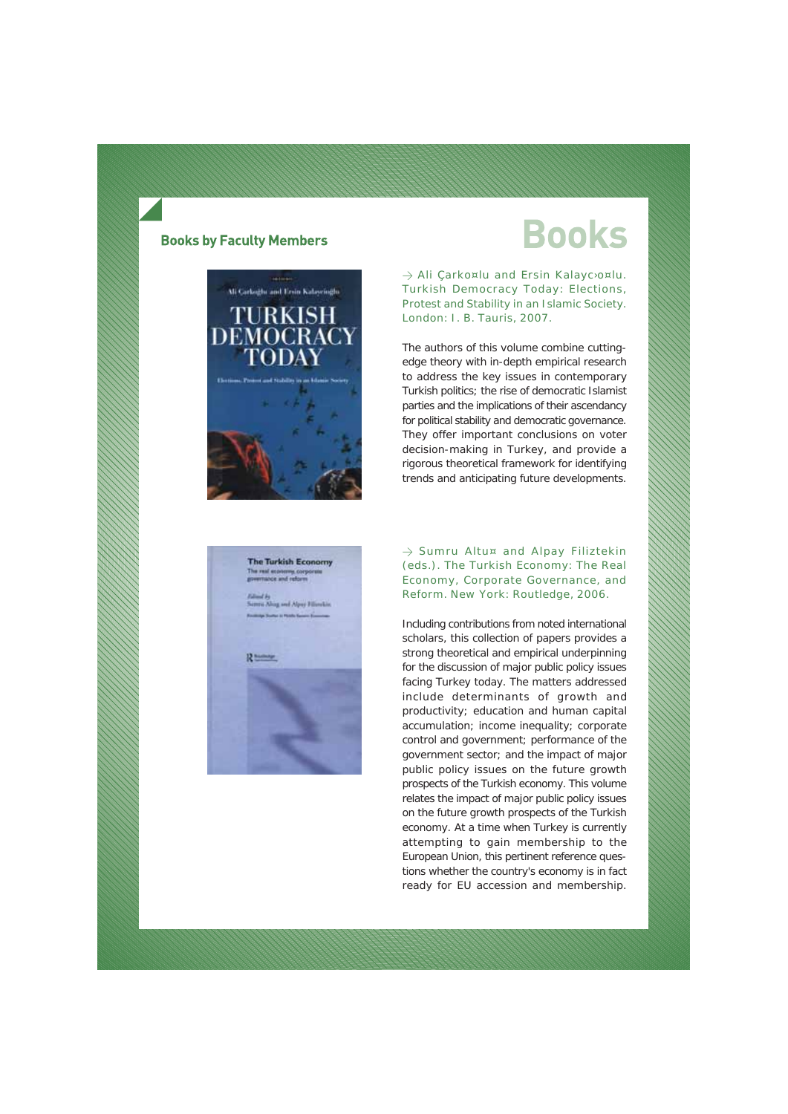### **Books by Faculty Members**

# **Books**



**The Turkish Economy** 

Rumer

ig and Alper Himselin

> **Ali Çarko¤lu and Ersin Kalayc›o¤lu. Turkish Democracy Today: Elections, Protest and Stability in an Islamic Society. London: I. B. Tauris, 2007.**

The authors of this volume combine cuttingedge theory with in-depth empirical research to address the key issues in contemporary Turkish politics; the rise of democratic Islamist parties and the implications of their ascendancy for political stability and democratic governance. They offer important conclusions on voter decision-making in Turkey, and provide a rigorous theoretical framework for identifying trends and anticipating future developments.

> **Sumru Altu¤ and Alpay Filiztekin (eds.). The Turkish Economy: The Real Economy, Corporate Governance, and Reform. New York: Routledge, 2006.**

Including contributions from noted international scholars, this collection of papers provides a strong theoretical and empirical underpinning for the discussion of major public policy issues facing Turkey today. The matters addressed include determinants of growth and productivity; education and human capital accumulation; income inequality; corporate control and government; performance of the government sector; and the impact of major public policy issues on the future growth prospects of the Turkish economy. This volume relates the impact of major public policy issues on the future growth prospects of the Turkish economy. At a time when Turkey is currently attempting to gain membership to the European Union, this pertinent reference questions whether the country's economy is in fact ready for EU accession and membership.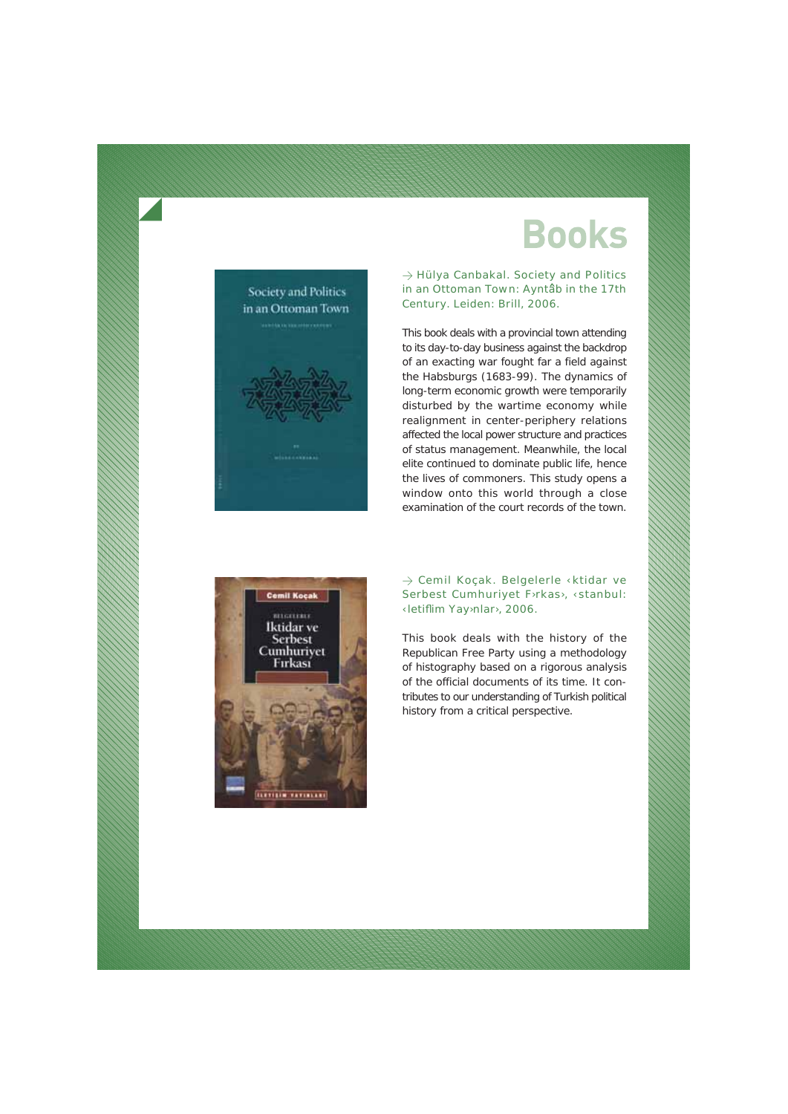## **Books**



### > **Hülya Canbakal. Society and Politics in an Ottoman Town: Ayntâb in the 17th Century. Leiden: Brill, 2006.**

This book deals with a provincial town attending to its day-to-day business against the backdrop of an exacting war fought far a field against the Habsburgs (1683-99). The dynamics of long-term economic growth were temporarily disturbed by the wartime economy while realignment in center-periphery relations affected the local power structure and practices of status management. Meanwhile, the local elite continued to dominate public life, hence the lives of commoners. This study opens a window onto this world through a close examination of the court records of the town.



### > **Cemil Koçak. Belgelerle ‹ktidar ve Serbest Cumhuriyet F›rkas›, ‹stanbul: ‹letiflim Yay›nlar›, 2006.**

This book deals with the history of the Republican Free Party using a methodology of histography based on a rigorous analysis of the official documents of its time. It contributes to our understanding of Turkish political history from a critical perspective.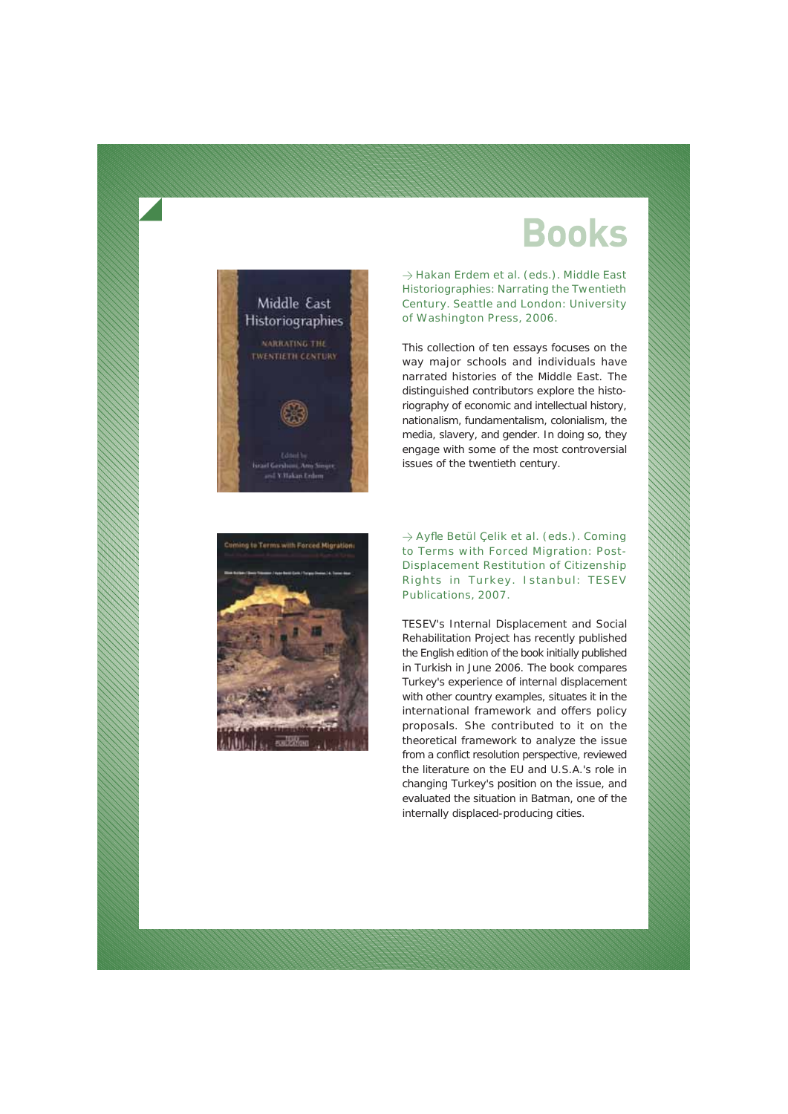## **Books**

Middle East **Historiographies KARRATING THE TWENTIETH CENTURY** and V.Hakan Endom

> **Hakan Erdem et al. (eds.). Middle East Historiographies: Narrating the Twentieth Century. Seattle and London: University of Washington Press, 2006.**

This collection of ten essays focuses on the way major schools and individuals have narrated histories of the Middle East. The distinguished contributors explore the historiography of economic and intellectual history, nationalism, fundamentalism, colonialism, the media, slavery, and gender. In doing so, they engage with some of the most controversial issues of the twentieth century.



> **Ayfle Betül Çelik et al. (eds.). Coming to Terms with Forced Migration: Post-Displacement Restitution of Citizenship Rights in Turkey. Istanbul: TESEV Publications, 2007.**

TESEV's Internal Displacement and Social Rehabilitation Project has recently published the English edition of the book initially published in Turkish in June 2006. The book compares Turkey's experience of internal displacement with other country examples, situates it in the international framework and offers policy proposals. She contributed to it on the theoretical framework to analyze the issue from a conflict resolution perspective, reviewed the literature on the EU and U.S.A.'s role in changing Turkey's position on the issue, and evaluated the situation in Batman, one of the internally displaced-producing cities.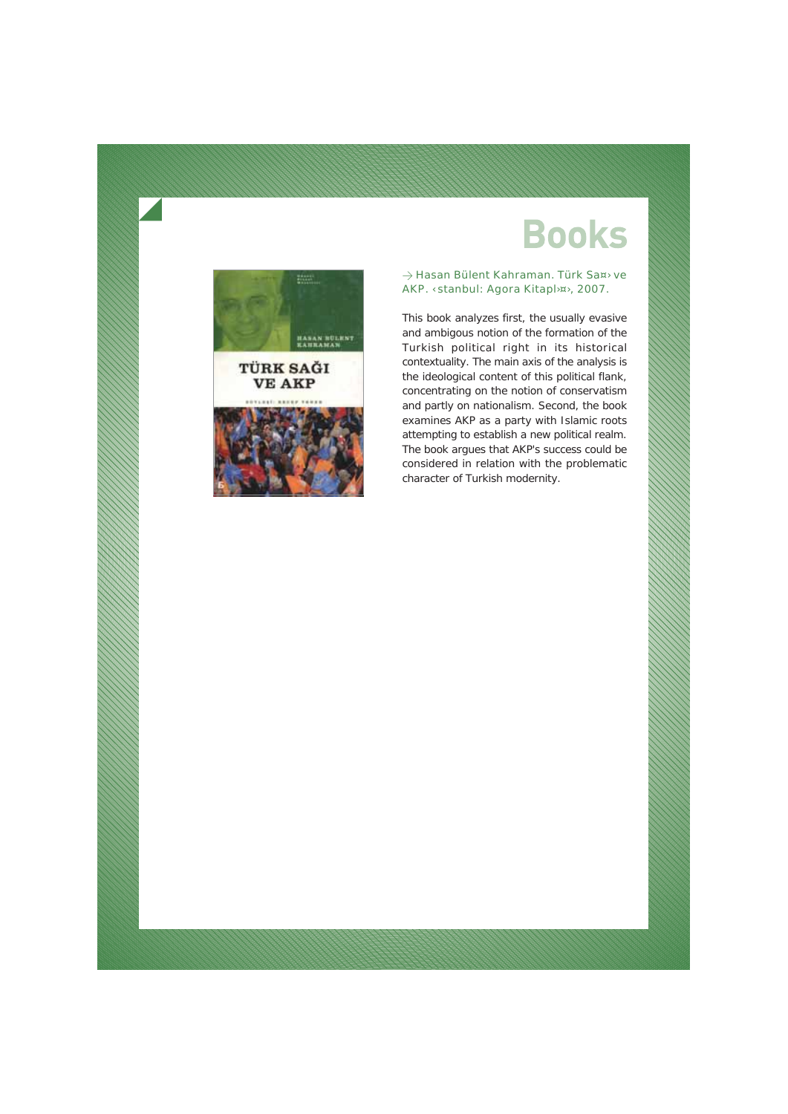## **Books**



#### > **Hasan Bülent Kahraman. Türk Sa¤› ve AKP. ‹stanbul: Agora Kitapl›¤›, 2007.**

This book analyzes first, the usually evasive and ambigous notion of the formation of the Turkish political right in its historical contextuality. The main axis of the analysis is the ideological content of this political flank, concentrating on the notion of conservatism and partly on nationalism. Second, the book examines AKP as a party with Islamic roots attempting to establish a new political realm. The book argues that AKP's success could be considered in relation with the problematic character of Turkish modernity.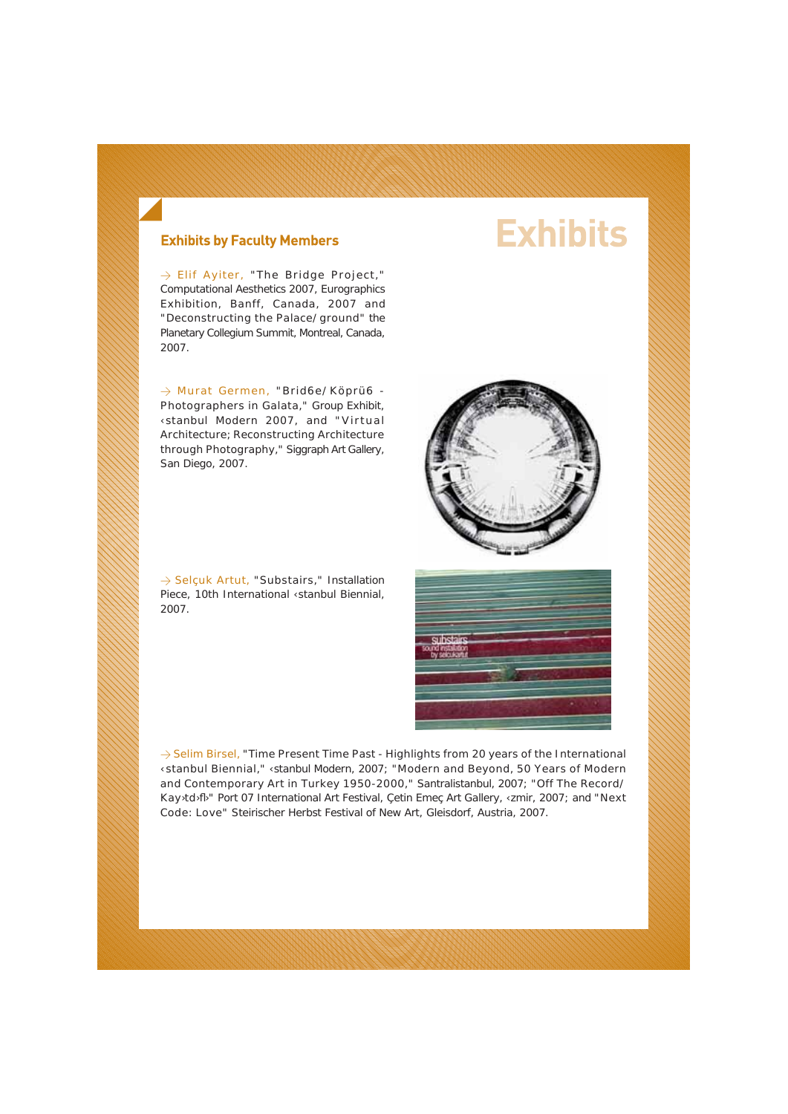### **Exhibits by Faculty Members**

> **Elif Ayiter, "The Bridge Project,"** Computational Aesthetics 2007, Eurographics Exhibition, Banff, Canada, 2007 and **"Deconstructing the Palace/ground"** the Planetary Collegium Summit, Montreal, Canada, 2007.

> **Murat Germen, "Brid6e/Köprü6 - Photographers in Galata,"** Group Exhibit, ‹stanbul Modern 2007, and **"Virtual Architecture; Reconstructing Architecture through Photography,"** Siggraph Art Gallery, San Diego, 2007.

> **Selçuk Artut, "Substairs,"** Installation Piece, 10th International ‹stanbul Biennial, 2007.

> **Selim Birsel, "Time Present Time Past - Highlights from 20 years of the International ‹stanbul Biennial,"** ‹stanbul Modern, 2007; **"Modern and Beyond, 50 Years of Modern and Contemporary Art in Turkey 1950-2000,"** Santralistanbul, 2007; **"Off The Record/ Kay›td›fl›"** Port 07 International Art Festival, Çetin Emeç Art Gallery, ‹zmir, 2007; and **"Next Code: Love"** Steirischer Herbst Festival of New Art, Gleisdorf, Austria, 2007.







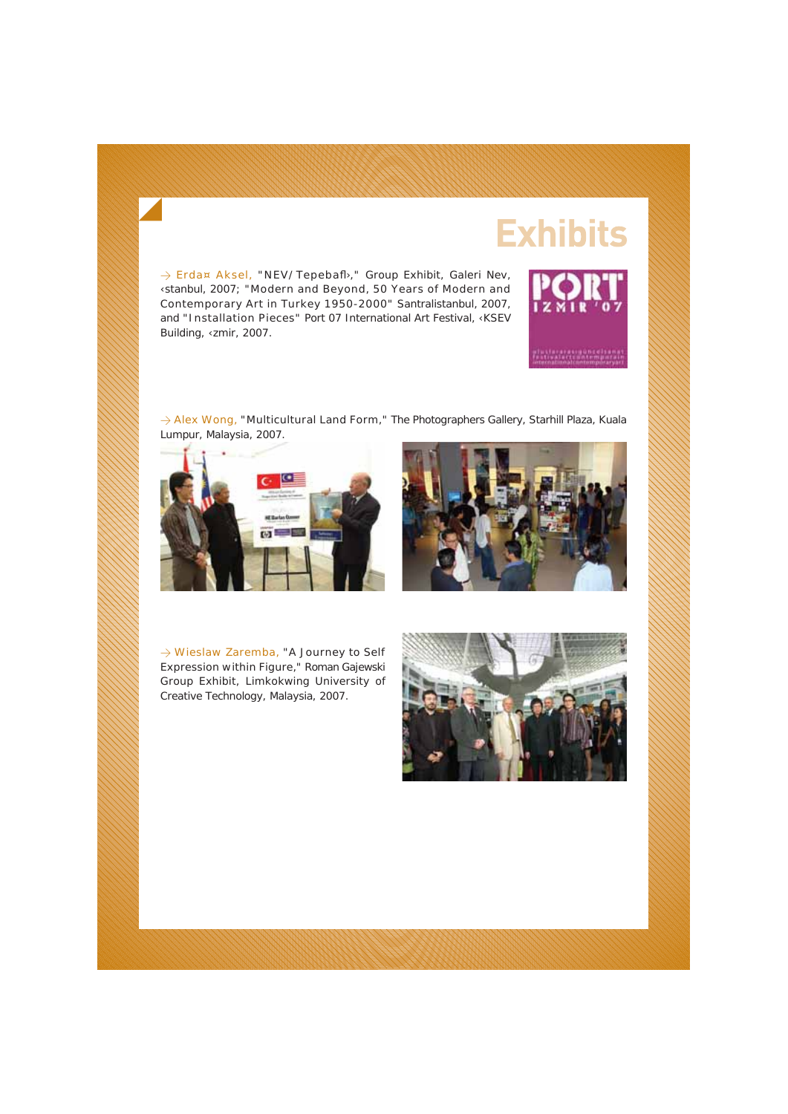> **Erda¤ Aksel, "NEV/Tepebafl›,"** Group Exhibit, Galeri Nev, ‹stanbul, 2007; **"Modern and Beyond, 50 Years of Modern and Contemporary Art in Turkey 1950-2000"** Santralistanbul, 2007, and **"Installation Pieces"** Port 07 International Art Festival, ‹KSEV Building, ‹zmir, 2007.

> **Alex Wong, "Multicultural Land Form,"** The Photographers Gallery, Starhill Plaza, Kuala Lumpur, Malaysia, 2007.







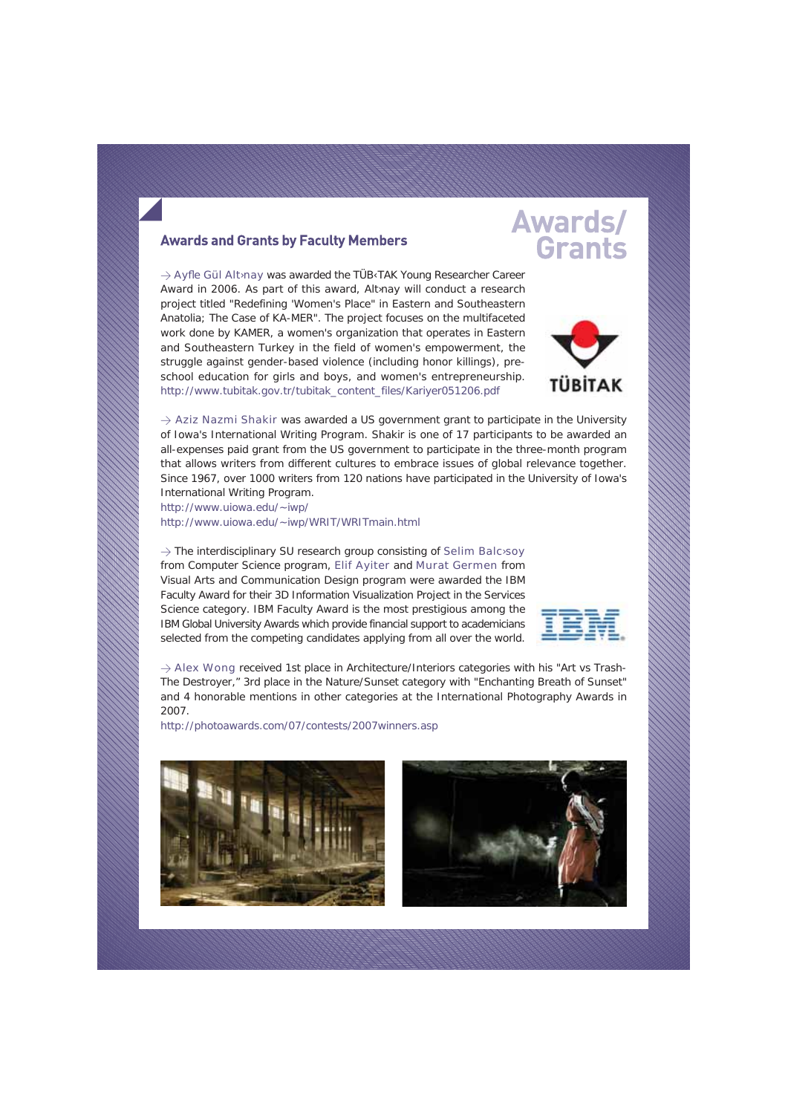### **Awards and Grants by Faculty Members**

 $\rightarrow$  **Ayfle Gül Alt nay** was awarded the TÜB<sub>K</sub>TAK Young Researcher Career Award in 2006. As part of this award, Altonay will conduct a research project titled "Redefining 'Women's Place" in Eastern and Southeastern Anatolia; The Case of KA-MER". The project focuses on the multifaceted work done by KAMER, a women's organization that operates in Eastern and Southeastern Turkey in the field of women's empowerment, the struggle against gender-based violence (including honor killings), preschool education for girls and boys, and women's entrepreneurship. http://www.tubitak.gov.tr/tubitak\_content\_files/Kariyer051206.pdf

## **Awards/** Grants



> **Aziz Nazmi Shakir** was awarded a US government grant to participate in the University of Iowa's International Writing Program. Shakir is one of 17 participants to be awarded an all-expenses paid grant from the US government to participate in the three-month program that allows writers from different cultures to embrace issues of global relevance together. Since 1967, over 1000 writers from 120 nations have participated in the University of Iowa's International Writing Program.

http://www.uiowa.edu/~iwp/ http://www.uiowa.edu/~iwp/WRIT/WRITmain.html

> The interdisciplinary SU research group consisting of **Selim Balc›soy** from Computer Science program, **Elif Ayiter** and **Murat Germen** from Visual Arts and Communication Design program were awarded the IBM Faculty Award for their 3D Information Visualization Project in the Services Science category. IBM Faculty Award is the most prestigious among the IBM Global University Awards which provide financial support to academicians selected from the competing candidates applying from all over the world.



> **Alex Wong** received 1st place in Architecture/Interiors categories with his "Art vs Trash-The Destroyer," 3rd place in the Nature/Sunset category with "Enchanting Breath of Sunset" and 4 honorable mentions in other categories at the International Photography Awards in 2007.

http://photoawards.com/07/contests/2007winners.asp



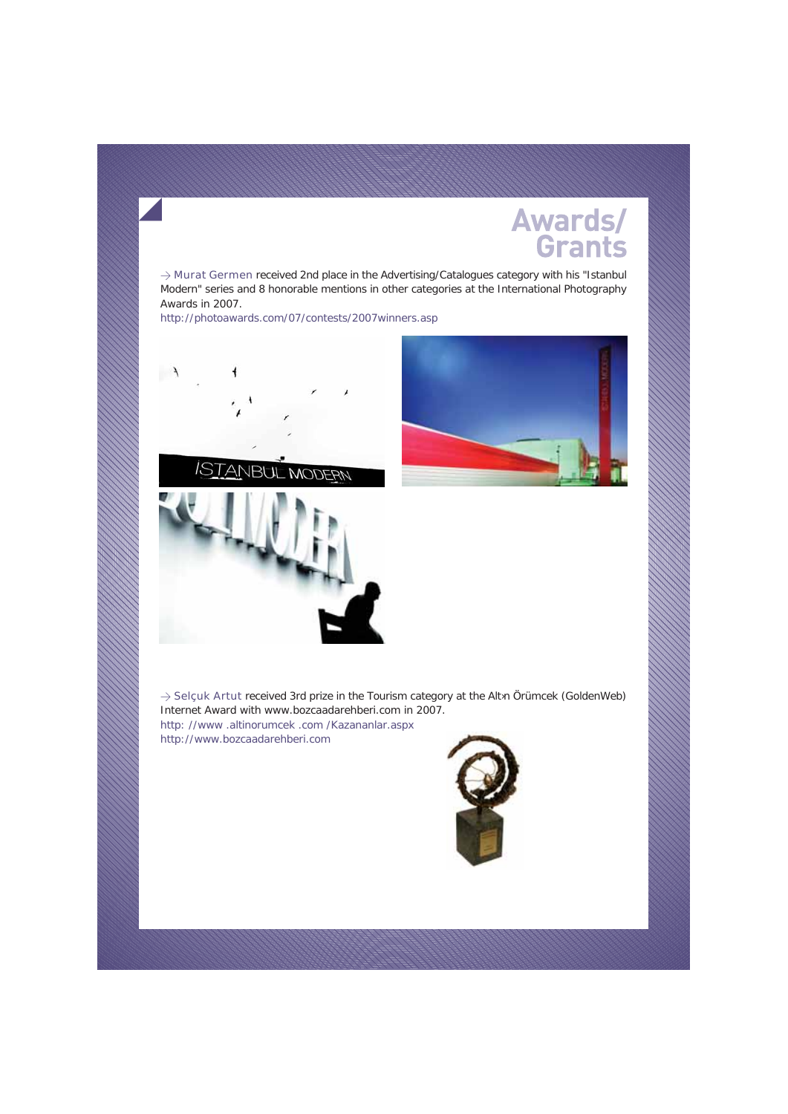# **Awards/**<br>Grants

> **Murat Germen** received 2nd place in the Advertising/Catalogues category with his "Istanbul Modern" series and 8 honorable mentions in other categories at the International Photography Awards in 2007.

http://photoawards.com/07/contests/2007winners.asp







 $\rightarrow$  Selçuk Artut received 3rd prize in the Tourism category at the Altn Örümcek (GoldenWeb) Internet Award with www.bozcaadarehberi.com in 2007.

http: //www .altinorumcek .com /Kazananlar.aspx http://www.bozcaadarehberi.com

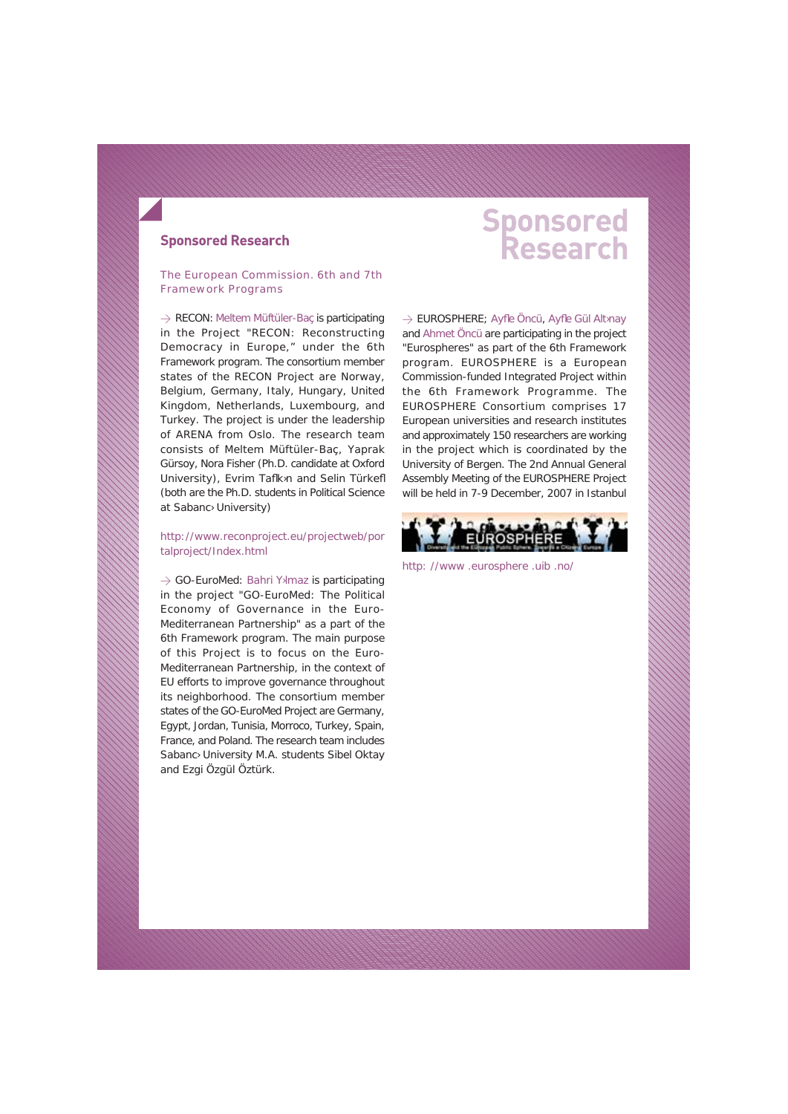### **Sponsored Research**

# **Sponsored**<br>Research

### **The European Commission. 6th and 7th Framework Programs**

 $\rightarrow$  RECON: Meltem Müftüler-Baç is participating in the Project "RECON: Reconstructing Democracy in Europe," under the 6th Framework program. The consortium member states of the RECON Project are Norway, Belgium, Germany, Italy, Hungary, United Kingdom, Netherlands, Luxembourg, and Turkey. The project is under the leadership of ARENA from Oslo. The research team consists of Meltem Müftüler-Baç, Yaprak Gürsoy, Nora Fisher (Ph.D. candidate at Oxford University), Evrim Taflk›n and Selin Türkefl (both are the Ph.D. students in Political Science at Sabanc› University)

### http://www.reconproject.eu/projectweb/por talproject/Index.html

 $\rightarrow$  GO-EuroMed: Bahri Y<sub></sub>lmaz is participating in the project "GO-EuroMed: The Political Economy of Governance in the Euro-Mediterranean Partnership" as a part of the 6th Framework program. The main purpose of this Project is to focus on the Euro-Mediterranean Partnership, in the context of EU efforts to improve governance throughout its neighborhood. The consortium member states of the GO-EuroMed Project are Germany, Egypt, Jordan, Tunisia, Morroco, Turkey, Spain, France, and Poland. The research team includes Sabanc› University M.A. students Sibel Oktay and Ezgi Özgül Öztürk.

 $\rightarrow$  EUROSPHERE; Avfle Öncü, Avfle Gül Altanay and Ahmet Öncü are participating in the project "Eurospheres" as part of the 6th Framework program. EUROSPHERE is a European Commission-funded Integrated Project within the 6th Framework Programme. The EUROSPHERE Consortium comprises 17 European universities and research institutes and approximately 150 researchers are working in the project which is coordinated by the University of Bergen. The 2nd Annual General Assembly Meeting of the EUROSPHERE Project will be held in 7-9 December, 2007 in Istanbul



http: //www .eurosphere .uib .no/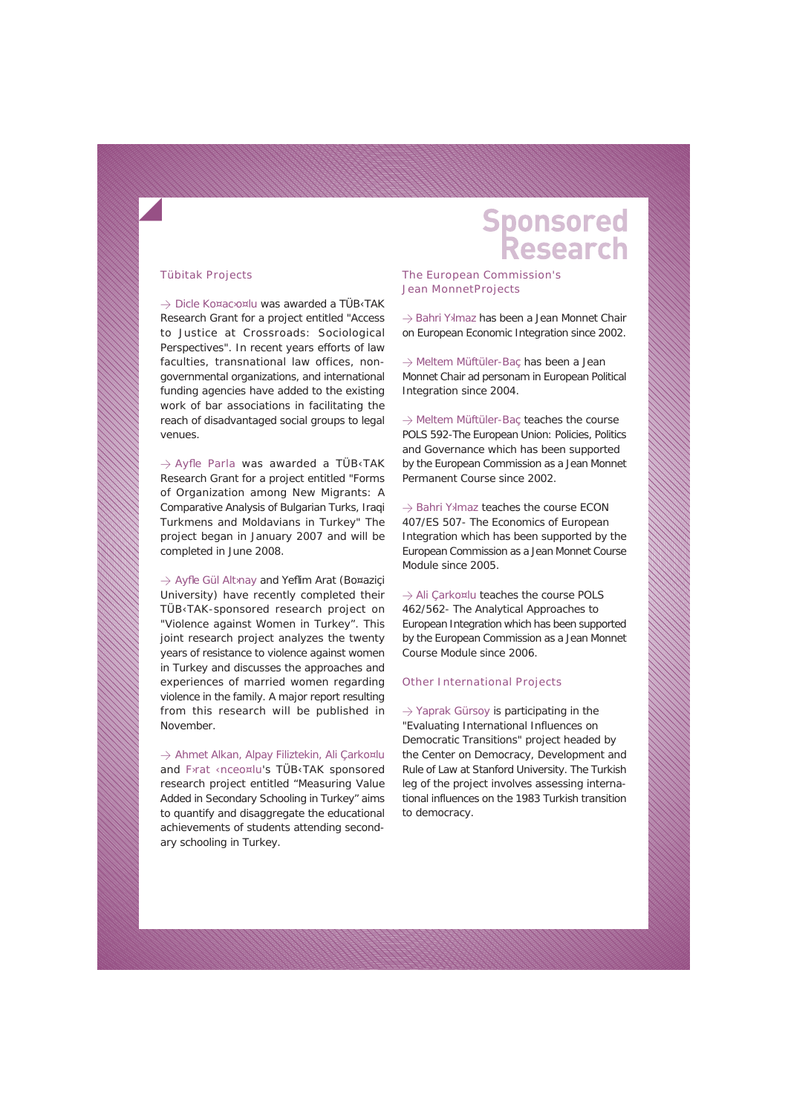# **Sponsored**<br>Research

### **Tübitak Projects**

 $\rightarrow$  Dicle Ko¤ac›o¤lu was awarded a TÜB<TAK Research Grant for a project entitled "Access to Justice at Crossroads: Sociological Perspectives". In recent years efforts of law faculties, transnational law offices, nongovernmental organizations, and international funding agencies have added to the existing work of bar associations in facilitating the reach of disadvantaged social groups to legal venues.

 $\rightarrow$  Ayfle Parla was awarded a TÜB $\overline{\text{C}}$ TAK Research Grant for a project entitled "Forms of Organization among New Migrants: A Comparative Analysis of Bulgarian Turks, Iraqi Turkmens and Moldavians in Turkey" The project began in January 2007 and will be completed in June 2008.

 $\rightarrow$  Ayfle Gül Altanay and Yeflim Arat (Bo¤aziçi University) have recently completed their TÜB‹TAK-sponsored research project on "Violence against Women in Turkey". This joint research project analyzes the twenty years of resistance to violence against women in Turkey and discusses the approaches and experiences of married women regarding violence in the family. A major report resulting from this research will be published in November.

 $\rightarrow$  Ahmet Alkan, Alpay Filiztekin, Ali Çarko¤lu and F›rat ‹nceo¤lu's TÜB‹TAK sponsored research project entitled "Measuring Value Added in Secondary Schooling in Turkey" aims to quantify and disaggregate the educational achievements of students attending secondary schooling in Turkey.

### **The European Commission's Jean MonnetProjects**

 $\rightarrow$  Bahri Y<sub>'</sub>lmaz has been a Jean Monnet Chair on European Economic Integration since 2002.

 $\rightarrow$  Meltem Müftüler-Bac has been a Jean Monnet Chair ad personam in European Political Integration since 2004.

 $\rightarrow$  Meltem Müftüler-Bac teaches the course POLS 592-The European Union: Policies, Politics and Governance which has been supported by the European Commission as a Jean Monnet Permanent Course since 2002.

 $\rightarrow$  Bahri Y<sub>ilmaz</sub> teaches the course ECON 407/ES 507- The Economics of European Integration which has been supported by the European Commission as a Jean Monnet Course Module since 2005.

 $\rightarrow$  Ali Carko¤lu teaches the course POLS 462/562- The Analytical Approaches to European Integration which has been supported by the European Commission as a Jean Monnet Course Module since 2006.

#### **Other International Projects**

 $\rightarrow$  Yaprak Gürsoy is participating in the "Evaluating International Influences on Democratic Transitions" project headed by the Center on Democracy, Development and Rule of Law at Stanford University. The Turkish leg of the project involves assessing international influences on the 1983 Turkish transition to democracy.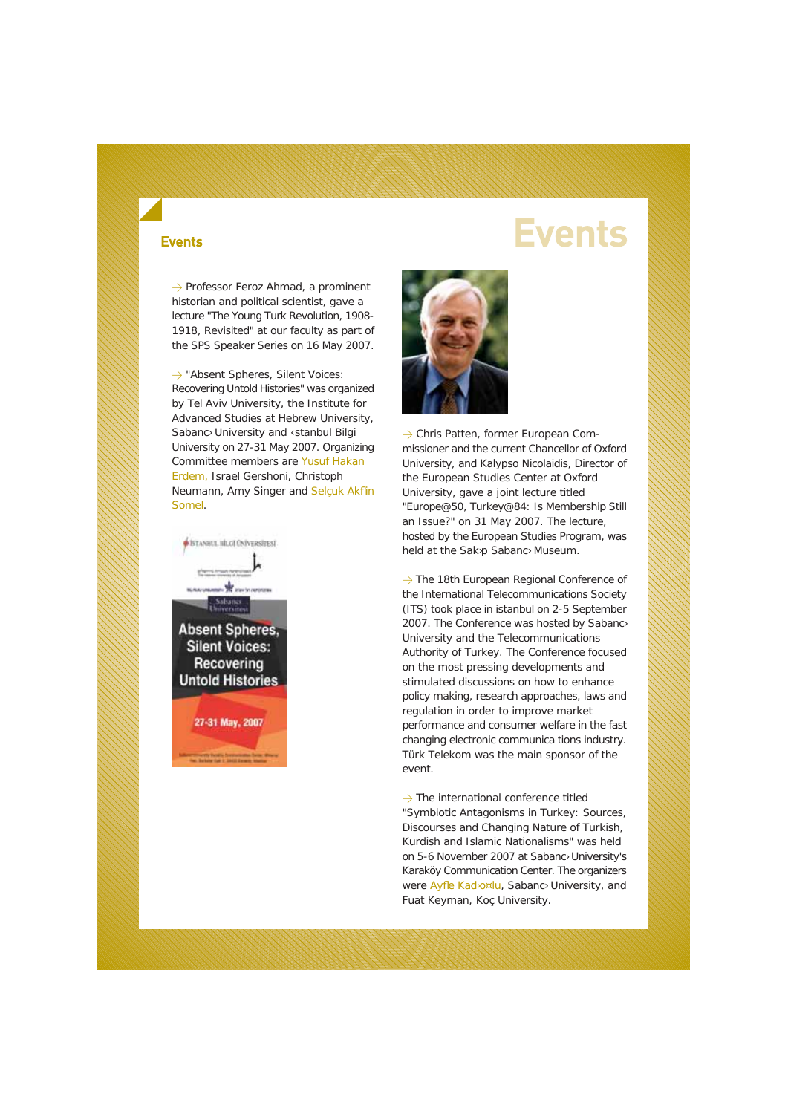## **Events**

### **Events**

 $\rightarrow$  Professor Feroz Ahmad, a prominent historian and political scientist, gave a lecture "The Young Turk Revolution, 1908- 1918, Revisited" at our faculty as part of the SPS Speaker Series on 16 May 2007.

 $\rightarrow$  "Absent Spheres, Silent Voices: Recovering Untold Histories" was organized by Tel Aviv University, the Institute for Advanced Studies at Hebrew University, Sabanc<sup>></sup> University and <stanbul Bilgi University on 27-31 May 2007. Organizing Committee members are Yusuf Hakan Erdem, Israel Gershoni, Christoph Neumann, Amy Singer and Selçuk Akflin Somel.





 $\rightarrow$  Chris Patten, former European Commissioner and the current Chancellor of Oxford University, and Kalypso Nicolaidis, Director of the European Studies Center at Oxford University, gave a joint lecture titled "Europe@50, Turkey@84: Is Membership Still an Issue?" on 31 May 2007. The lecture, hosted by the European Studies Program, was held at the Sak<sub>p</sub> Sabanc<sub></sub> Museum.

 $\rightarrow$  The 18th European Regional Conference of the International Telecommunications Society (ITS) took place in istanbul on 2-5 September 2007. The Conference was hosted by Sabanc› University and the Telecommunications Authority of Turkey. The Conference focused on the most pressing developments and stimulated discussions on how to enhance policy making, research approaches, laws and regulation in order to improve market performance and consumer welfare in the fast changing electronic communica tions industry. Türk Telekom was the main sponsor of the event.

 $\rightarrow$  The international conference titled "Symbiotic Antagonisms in Turkey: Sources, Discourses and Changing Nature of Turkish, Kurdish and Islamic Nationalisms" was held on 5-6 November 2007 at Sabanc<sup>,</sup> University's Karaköy Communication Center. The organizers were Ayfle Kad›o¤lu, Sabanc› University, and Fuat Keyman, Koç University.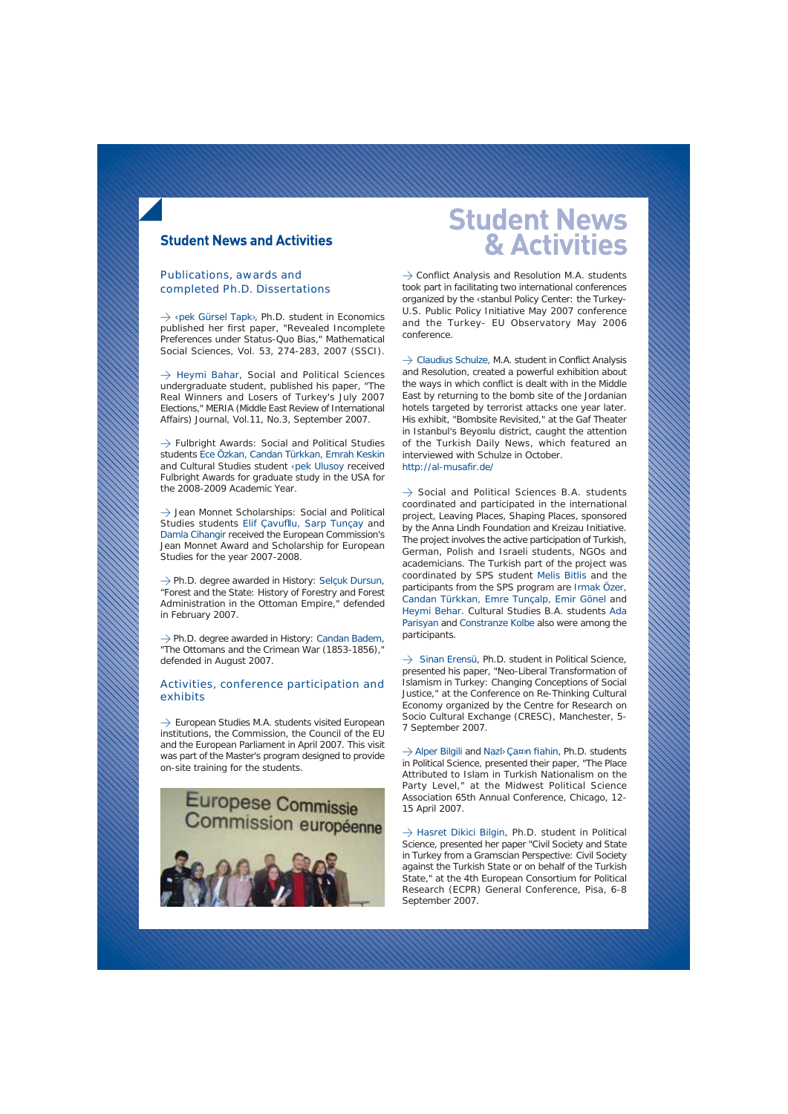### **Student News and Activities**

### **Publications, awards and completed Ph.D. Dissertations**

 $\rightarrow$  <pek Gürsel Tapk>, Ph.D. student in Economics published her first paper, "Revealed Incomplete Preferences under Status-Quo Bias," Mathematical Social Sciences, Vol. 53, 274-283, 2007 (SSCI).

 $\rightarrow$  Heymi Bahar, Social and Political Sciences undergraduate student, published his paper, "The Real Winners and Losers of Turkey's July 2007 Elections," MERIA (Middle East Review of International Affairs) Journal, Vol.11, No.3, September 2007.

 $\rightarrow$  Fulbright Awards: Social and Political Studies students Ece Özkan, Candan Türkkan, Emrah Keskin and Cultural Studies student ‹pek Ulusoy received Fulbright Awards for graduate study in the USA for the 2008-2009 Academic Year.

 $\rightarrow$  Jean Monnet Scholarships: Social and Political Studies students Elif Çavufllu, Sarp Tunçay and Damla Cihangir received the European Commission's Jean Monnet Award and Scholarship for European Studies for the year 2007-2008.

 $\rightarrow$  Ph.D. degree awarded in History: Selçuk Dursun, "Forest and the State: History of Forestry and Forest Administration in the Ottoman Empire," defended in February 2007.

> Ph.D. degree awarded in History: Candan Badem, "The Ottomans and the Crimean War (1853-1856)," defended in August 2007.

#### **Activities, conference participation and exhibits**

 $\rightarrow$  European Studies M.A. students visited European institutions, the Commission, the Council of the EU and the European Parliament in April 2007. This visit was part of the Master's program designed to provide on-site training for the students.



### **Student News** & Activities

 $\rightarrow$  Conflict Analysis and Resolution M.A. students took part in facilitating two international conferences organized by the ‹stanbul Policy Center: the Turkey-U.S. Public Policy Initiative May 2007 conference and the Turkey- EU Observatory May 2006 conference.

 $\rightarrow$  Claudius Schulze, M.A. student in Conflict Analysis and Resolution, created a powerful exhibition about the ways in which conflict is dealt with in the Middle East by returning to the bomb site of the Jordanian hotels targeted by terrorist attacks one year later. His exhibit, "Bombsite Revisited," at the Gaf Theater in Istanbul's Beyo¤lu district, caught the attention of the Turkish Daily News, which featured an interviewed with Schulze in October. http://al-musafir.de/

 $\rightarrow$  Social and Political Sciences B.A. students coordinated and participated in the international project, Leaving Places, Shaping Places, sponsored by the Anna Lindh Foundation and Kreizau Initiative. The project involves the active participation of Turkish, German, Polish and Israeli students, NGOs and academicians. The Turkish part of the project was coordinated by SPS student Melis Bitlis and the participants from the SPS program are Irmak Özer, Candan Türkkan, Emre Tunçalp, Emir Gönel and Heymi Behar. Cultural Studies B.A. students Ada Parisyan and Constranze Kolbe also were among the participants.

 $\rightarrow$  Sinan Erensü, Ph.D. student in Political Science, presented his paper, "Neo-Liberal Transformation of Islamism in Turkey: Changing Conceptions of Social Justice," at the Conference on Re-Thinking Cultural Economy organized by the Centre for Research on Socio Cultural Exchange (CRESC), Manchester, 5- 7 September 2007.

 $\rightarrow$  Alper Bilgili and Nazl> Ca¤>n fiahin, Ph.D. students in Political Science, presented their paper, "The Place Attributed to Islam in Turkish Nationalism on the Party Level," at the Midwest Political Science Association 65th Annual Conference, Chicago, 12- 15 April 2007.

 $\rightarrow$  Hasret Dikici Bilgin, Ph.D. student in Political Science, presented her paper "Civil Society and State in Turkey from a Gramscian Perspective: Civil Society against the Turkish State or on behalf of the Turkish State," at the 4th European Consortium for Political Research (ECPR) General Conference, Pisa, 6-8 September 2007.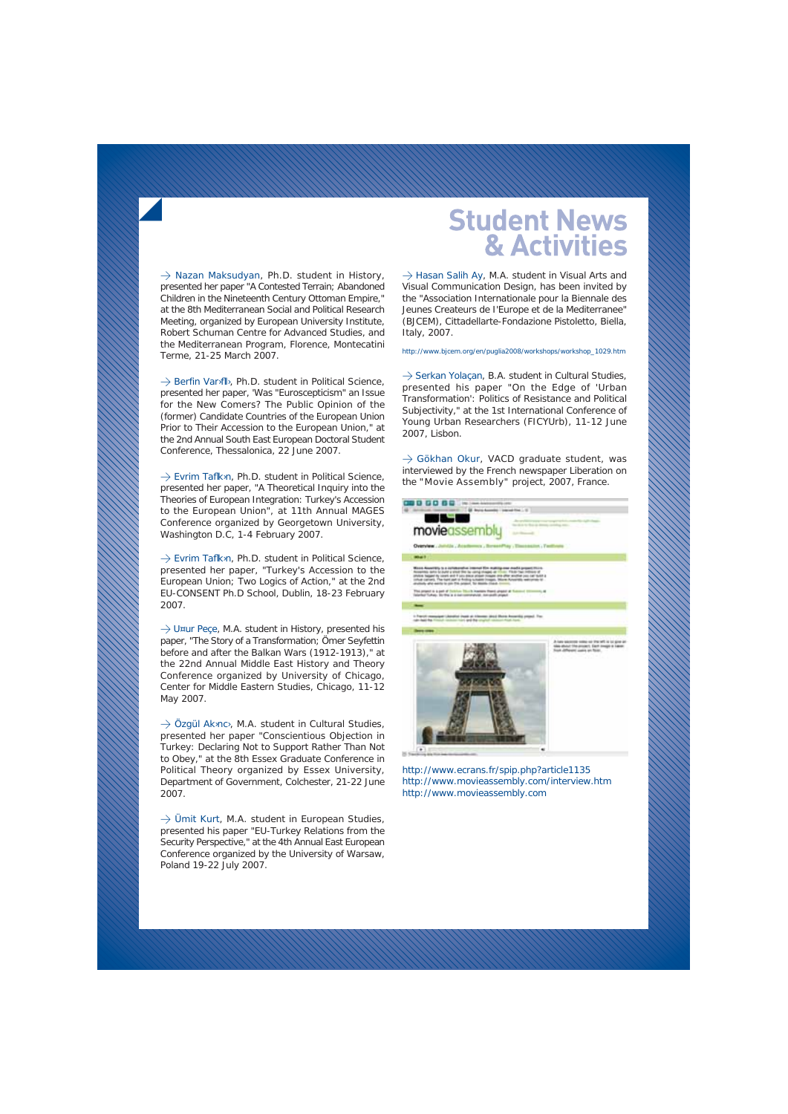### **Student News** & Activities

 $\rightarrow$  Nazan Maksudyan, Ph.D. student in History, presented her paper "A Contested Terrain; Abandoned Children in the Nineteenth Century Ottoman Empire," at the 8th Mediterranean Social and Political Research Meeting, organized by European University Institute, Robert Schuman Centre for Advanced Studies, and the Mediterranean Program, Florence, Montecatini Terme, 21-25 March 2007.

 $\rightarrow$  Berfin Vanfll, Ph.D. student in Political Science, presented her paper, 'Was "Euroscepticism" an Issue for the New Comers? The Public Opinion of the (former) Candidate Countries of the European Union Prior to Their Accession to the European Union," at the 2nd Annual South East European Doctoral Student Conference, Thessalonica, 22 June 2007.

 $\rightarrow$  Evrim Taflkon, Ph.D. student in Political Science, presented her paper, "A Theoretical Inquiry into the Theories of European Integration: Turkey's Accession to the European Union", at 11th Annual MAGES Conference organized by Georgetown University, Washington D.C, 1-4 February 2007.

 $\rightarrow$  Evrim Taflkon, Ph.D. student in Political Science, presented her paper, "Turkey's Accession to the European Union; Two Logics of Action," at the 2nd EU-CONSENT Ph.D School, Dublin, 18-23 February 2007.

 $\rightarrow$  U¤ur Pece, M.A. student in History, presented his paper, "The Story of a Transformation; Ömer Seyfettin before and after the Balkan Wars (1912-1913)," at the 22nd Annual Middle East History and Theory Conference organized by University of Chicago, Center for Middle Eastern Studies, Chicago, 11-12 May 2007.

 $\rightarrow$  Özgül Ak>nc>, M.A. student in Cultural Studies, presented her paper "Conscientious Objection in Turkey: Declaring Not to Support Rather Than Not to Obey," at the 8th Essex Graduate Conference in Political Theory organized by Essex University, Department of Government, Colchester, 21-22 June 2007.

 $\rightarrow$  Ümit Kurt, M.A. student in European Studies, presented his paper "EU-Turkey Relations from the Security Perspective," at the 4th Annual East European Conference organized by the University of Warsaw, Poland 19-22 July 2007.

 $\rightarrow$  Hasan Salih Ay, M.A. student in Visual Arts and Visual Communication Design, has been invited by the "Association Internationale pour la Biennale des Jeunes Createurs de I'Europe et de la Mediterranee" (BJCEM), Cittadellarte-Fondazione Pistoletto, Biella, Italy, 2007.

http://www.bjcem.org/en/puglia2008/workshops/workshop\_1029.htm

 $\rightarrow$  Serkan Yolaçan, B.A. student in Cultural Studies, presented his paper "On the Edge of 'Urban Transformation': Politics of Resistance and Political Subjectivity," at the 1st International Conference of Young Urban Researchers (FICYUrb), 11-12 June 2007, Lisbon.

 $\rightarrow$  Gökhan Okur, VACD graduate student, was interviewed by the French newspaper Liberation on the **"Movie Assembly"** project, 2007, France.



http://www.ecrans.fr/spip.php?article1135 http://www.movieassembly.com/interview.htm http://www.movieassembly.com